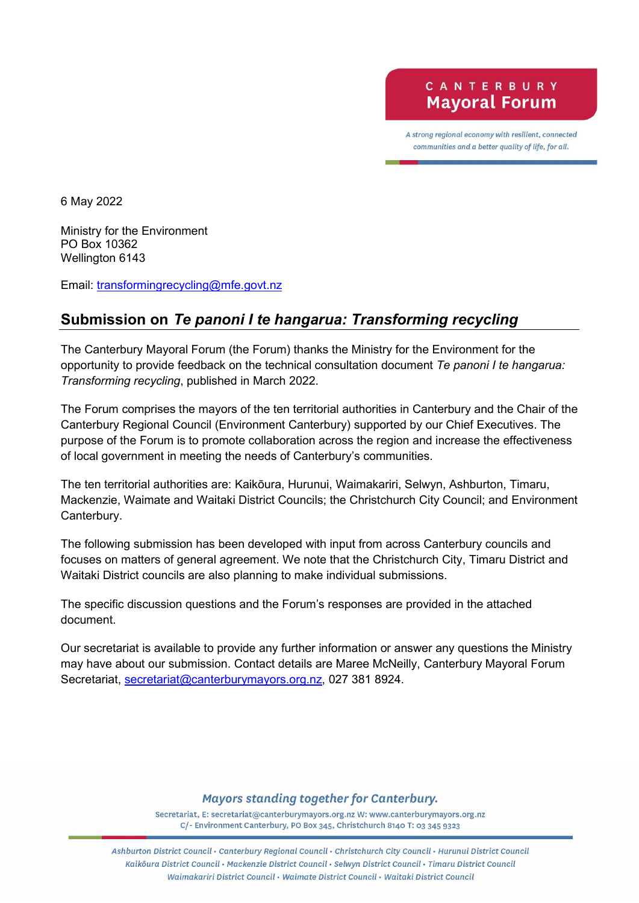A strong regional economy with resilient, connected communities and a better quality of life, for all.

6 May 2022

Ministry for the Environment PO Box 10362 Wellington 6143

Email: [transformingrecycling@mfe.govt.nz](mailto:transformingrecycling@mfe.govt.nz)

# **Submission on** *Te panoni I te hangarua: Transforming recycling*

The Canterbury Mayoral Forum (the Forum) thanks the Ministry for the Environment for the opportunity to provide feedback on the technical consultation document *Te panoni I te hangarua: Transforming recycling*, published in March 2022.

The Forum comprises the mayors of the ten territorial authorities in Canterbury and the Chair of the Canterbury Regional Council (Environment Canterbury) supported by our Chief Executives. The purpose of the Forum is to promote collaboration across the region and increase the effectiveness of local government in meeting the needs of Canterbury's communities.

The ten territorial authorities are: Kaikōura, Hurunui, Waimakariri, Selwyn, Ashburton, Timaru, Mackenzie, Waimate and Waitaki District Councils; the Christchurch City Council; and Environment Canterbury.

The following submission has been developed with input from across Canterbury councils and focuses on matters of general agreement. We note that the Christchurch City, Timaru District and Waitaki District councils are also planning to make individual submissions.

The specific discussion questions and the Forum's responses are provided in the attached document.

Our secretariat is available to provide any further information or answer any questions the Ministry may have about our submission. Contact details are Maree McNeilly, Canterbury Mayoral Forum Secretariat, [secretariat@canterburymayors.org.nz,](mailto:secretariat@canterburymayors.org.nz) 027 381 8924.

#### **Mayors standing together for Canterbury.**

Secretariat, E: secretariat@canterburymayors.org.nz W: www.canterburymayors.org.nz C/- Environment Canterbury, PO Box 345, Christchurch 8140 T: 03 345 9323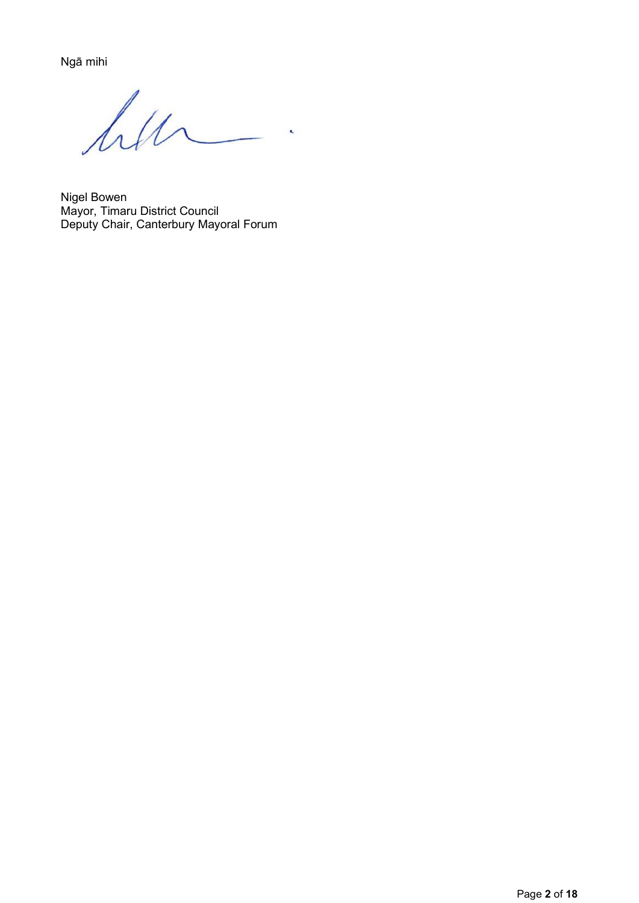Ngā mihi

hu  $\overline{\phantom{a}}$ 

Nigel Bowen Mayor, Timaru District Council Deputy Chair, Canterbury Mayoral Forum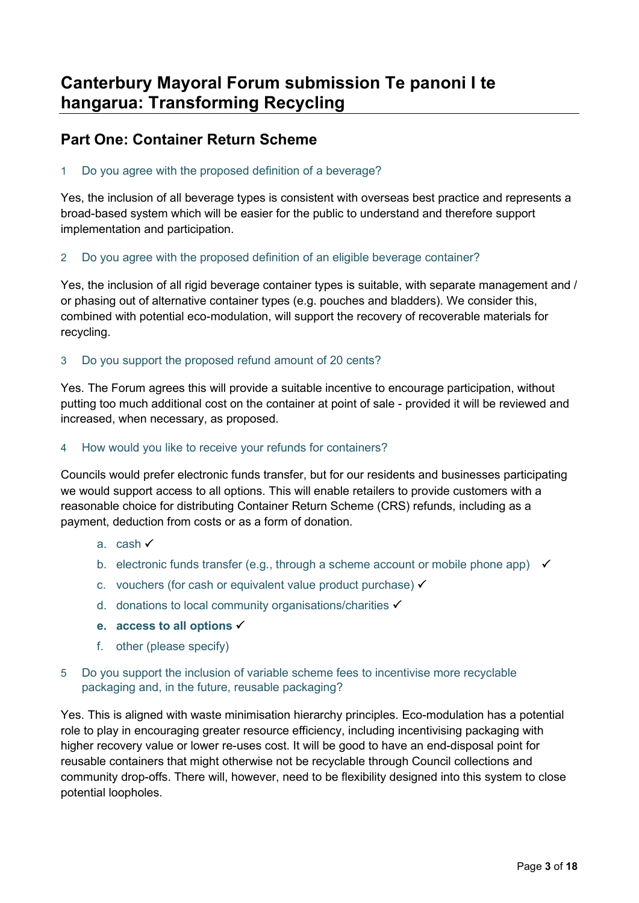# **Part One: Container Return Scheme**

1 Do you agree with the proposed definition of a beverage?

Yes, the inclusion of all beverage types is consistent with overseas best practice and represents a broad-based system which will be easier for the public to understand and therefore support implementation and participation.

2 Do you agree with the proposed definition of an eligible beverage container?

Yes, the inclusion of all rigid beverage container types is suitable, with separate management and / or phasing out of alternative container types (e.g. pouches and bladders). We consider this, combined with potential eco-modulation, will support the recovery of recoverable materials for recycling.

# 3 Do you support the proposed refund amount of 20 cents?

Yes. The Forum agrees this will provide a suitable incentive to encourage participation, without putting too much additional cost on the container at point of sale - provided it will be reviewed and increased, when necessary, as proposed.

4 How would you like to receive your refunds for containers?

Councils would prefer electronic funds transfer, but for our residents and businesses participating we would support access to all options. This will enable retailers to provide customers with a reasonable choice for distributing Container Return Scheme (CRS) refunds, including as a payment, deduction from costs or as a form of donation.

- a. cash
- b. electronic funds transfer (e.g., through a scheme account or mobile phone app)  $\checkmark$
- c. vouchers (for cash or equivalent value product purchase)  $\checkmark$
- d. donations to local community organisations/charities
- **e. access to all options**
- f. other (please specify)
- 5 Do you support the inclusion of variable scheme fees to incentivise more recyclable packaging and, in the future, reusable packaging?

Yes. This is aligned with waste minimisation hierarchy principles. Eco-modulation has a potential role to play in encouraging greater resource efficiency, including incentivising packaging with higher recovery value or lower re-uses cost. It will be good to have an end-disposal point for reusable containers that might otherwise not be recyclable through Council collections and community drop-offs. There will, however, need to be flexibility designed into this system to close potential loopholes.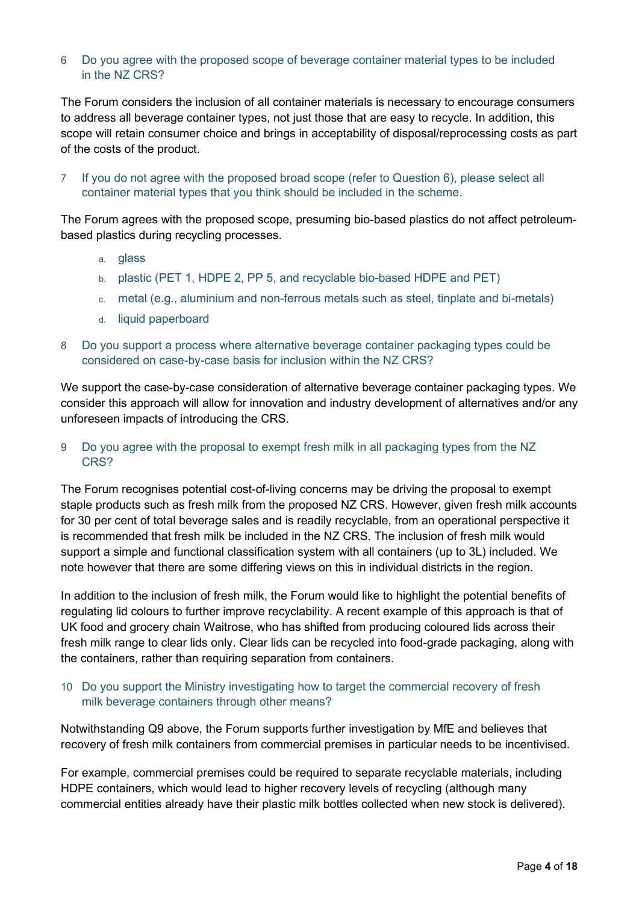### 6 Do you agree with the proposed scope of beverage container material types to be included in the NZ CRS?

The Forum considers the inclusion of all container materials is necessary to encourage consumers to address all beverage container types, not just those that are easy to recycle. In addition, this scope will retain consumer choice and brings in acceptability of disposal/reprocessing costs as part of the costs of the product.

7 If you do not agree with the proposed broad scope (refer to Question 6), please select all container material types that you think should be included in the scheme.

The Forum agrees with the proposed scope, presuming bio-based plastics do not affect petroleumbased plastics during recycling processes.

- a. glass
- b. plastic (PET 1, HDPE 2, PP 5, and recyclable bio-based HDPE and PET)
- c. metal (e.g., aluminium and non-ferrous metals such as steel, tinplate and bi-metals)
- d. liquid paperboard
- 8 Do you support a process where alternative beverage container packaging types could be considered on case-by-case basis for inclusion within the NZ CRS?

We support the case-by-case consideration of alternative beverage container packaging types. We consider this approach will allow for innovation and industry development of alternatives and/or any unforeseen impacts of introducing the CRS.

9 Do you agree with the proposal to exempt fresh milk in all packaging types from the NZ CRS?

The Forum recognises potential cost-of-living concerns may be driving the proposal to exempt staple products such as fresh milk from the proposed NZ CRS. However, given fresh milk accounts for 30 per cent of total beverage sales and is readily recyclable, from an operational perspective it is recommended that fresh milk be included in the NZ CRS. The inclusion of fresh milk would support a simple and functional classification system with all containers (up to 3L) included. We note however that there are some differing views on this in individual districts in the region.

In addition to the inclusion of fresh milk, the Forum would like to highlight the potential benefits of regulating lid colours to further improve recyclability. A recent example of this approach is that of UK food and grocery chain Waitrose, who has shifted from producing coloured lids across their fresh milk range to clear lids only. Clear lids can be recycled into food-grade packaging, along with the containers, rather than requiring separation from containers.

#### 10 Do you support the Ministry investigating how to target the commercial recovery of fresh milk beverage containers through other means?

Notwithstanding Q9 above, the Forum supports further investigation by MfE and believes that recovery of fresh milk containers from commercial premises in particular needs to be incentivised.

For example, commercial premises could be required to separate recyclable materials, including HDPE containers, which would lead to higher recovery levels of recycling (although many commercial entities already have their plastic milk bottles collected when new stock is delivered).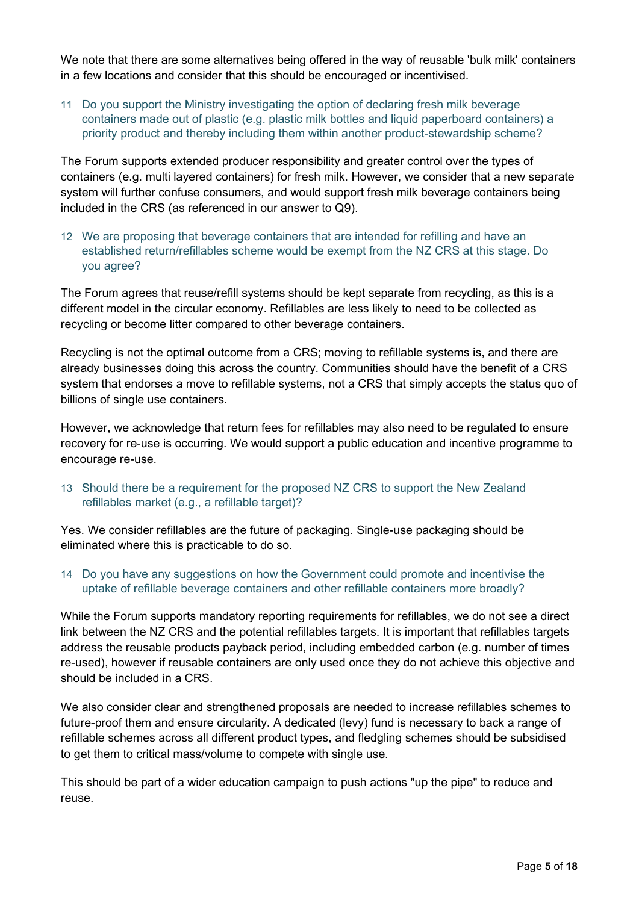We note that there are some alternatives being offered in the way of reusable 'bulk milk' containers in a few locations and consider that this should be encouraged or incentivised.

11 Do you support the Ministry investigating the option of declaring fresh milk beverage containers made out of plastic (e.g. plastic milk bottles and liquid paperboard containers) a priority product and thereby including them within another product-stewardship scheme?

The Forum supports extended producer responsibility and greater control over the types of containers (e.g. multi layered containers) for fresh milk. However, we consider that a new separate system will further confuse consumers, and would support fresh milk beverage containers being included in the CRS (as referenced in our answer to Q9).

12 We are proposing that beverage containers that are intended for refilling and have an established return/refillables scheme would be exempt from the NZ CRS at this stage. Do you agree?

The Forum agrees that reuse/refill systems should be kept separate from recycling, as this is a different model in the circular economy. Refillables are less likely to need to be collected as recycling or become litter compared to other beverage containers.

Recycling is not the optimal outcome from a CRS; moving to refillable systems is, and there are already businesses doing this across the country. Communities should have the benefit of a CRS system that endorses a move to refillable systems, not a CRS that simply accepts the status quo of billions of single use containers.

However, we acknowledge that return fees for refillables may also need to be regulated to ensure recovery for re-use is occurring. We would support a public education and incentive programme to encourage re-use.

13 Should there be a requirement for the proposed NZ CRS to support the New Zealand refillables market (e.g., a refillable target)?

Yes. We consider refillables are the future of packaging. Single-use packaging should be eliminated where this is practicable to do so.

14 Do you have any suggestions on how the Government could promote and incentivise the uptake of refillable beverage containers and other refillable containers more broadly?

While the Forum supports mandatory reporting requirements for refillables, we do not see a direct link between the NZ CRS and the potential refillables targets. It is important that refillables targets address the reusable products payback period, including embedded carbon (e.g. number of times re-used), however if reusable containers are only used once they do not achieve this objective and should be included in a CRS.

We also consider clear and strengthened proposals are needed to increase refillables schemes to future-proof them and ensure circularity. A dedicated (levy) fund is necessary to back a range of refillable schemes across all different product types, and fledgling schemes should be subsidised to get them to critical mass/volume to compete with single use.

This should be part of a wider education campaign to push actions "up the pipe" to reduce and reuse.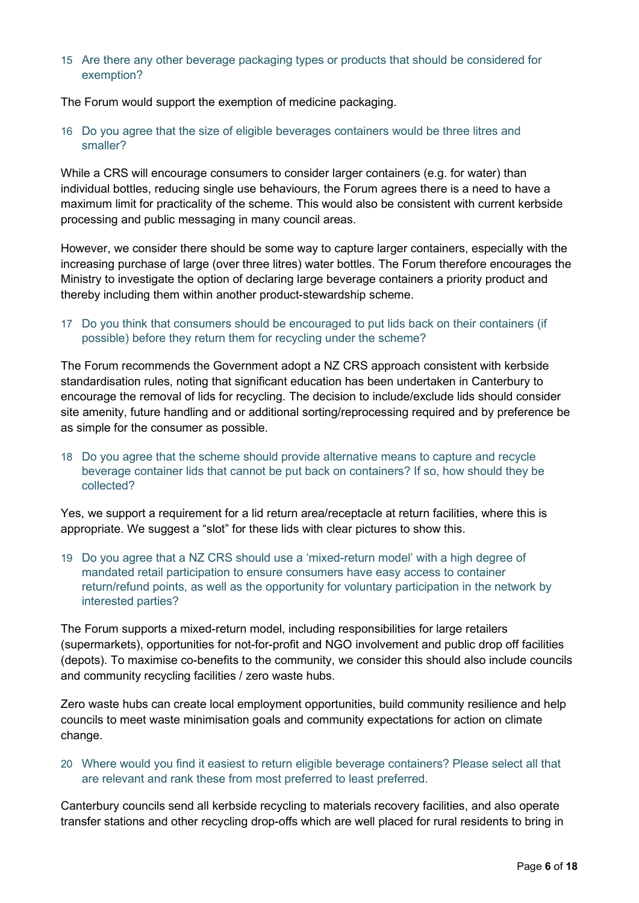#### 15 Are there any other beverage packaging types or products that should be considered for exemption?

The Forum would support the exemption of medicine packaging.

16 Do you agree that the size of eligible beverages containers would be three litres and smaller?

While a CRS will encourage consumers to consider larger containers (e.g. for water) than individual bottles, reducing single use behaviours, the Forum agrees there is a need to have a maximum limit for practicality of the scheme. This would also be consistent with current kerbside processing and public messaging in many council areas.

However, we consider there should be some way to capture larger containers, especially with the increasing purchase of large (over three litres) water bottles. The Forum therefore encourages the Ministry to investigate the option of declaring large beverage containers a priority product and thereby including them within another product-stewardship scheme.

### 17 Do you think that consumers should be encouraged to put lids back on their containers (if possible) before they return them for recycling under the scheme?

The Forum recommends the Government adopt a NZ CRS approach consistent with kerbside standardisation rules, noting that significant education has been undertaken in Canterbury to encourage the removal of lids for recycling. The decision to include/exclude lids should consider site amenity, future handling and or additional sorting/reprocessing required and by preference be as simple for the consumer as possible.

18 Do you agree that the scheme should provide alternative means to capture and recycle beverage container lids that cannot be put back on containers? If so, how should they be collected?

Yes, we support a requirement for a lid return area/receptacle at return facilities, where this is appropriate. We suggest a "slot" for these lids with clear pictures to show this.

19 Do you agree that a NZ CRS should use a 'mixed-return model' with a high degree of mandated retail participation to ensure consumers have easy access to container return/refund points, as well as the opportunity for voluntary participation in the network by interested parties?

The Forum supports a mixed-return model, including responsibilities for large retailers (supermarkets), opportunities for not-for-profit and NGO involvement and public drop off facilities (depots). To maximise co-benefits to the community, we consider this should also include councils and community recycling facilities / zero waste hubs.

Zero waste hubs can create local employment opportunities, build community resilience and help councils to meet waste minimisation goals and community expectations for action on climate change.

20 Where would you find it easiest to return eligible beverage containers? Please select all that are relevant and rank these from most preferred to least preferred.

Canterbury councils send all kerbside recycling to materials recovery facilities, and also operate transfer stations and other recycling drop-offs which are well placed for rural residents to bring in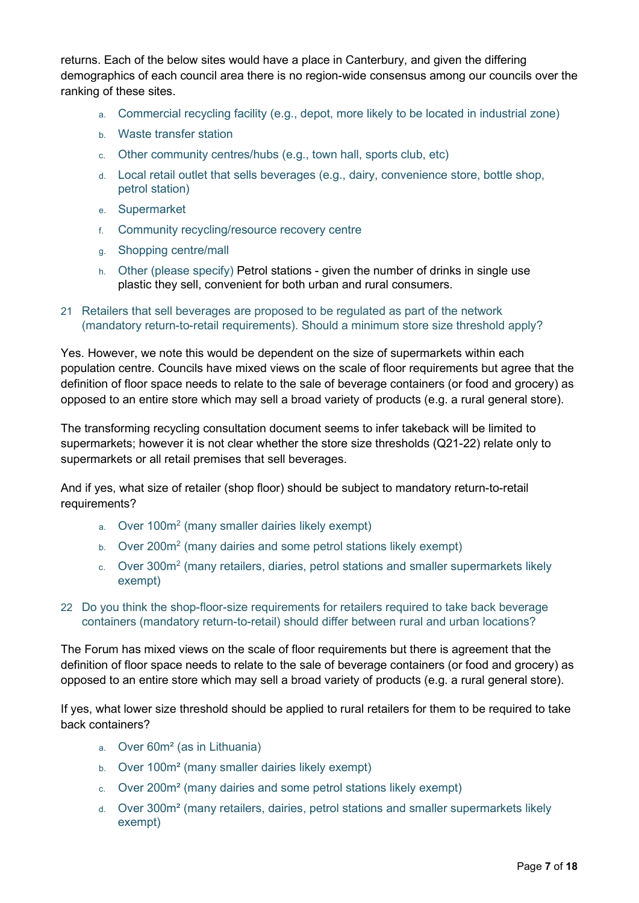returns. Each of the below sites would have a place in Canterbury, and given the differing demographics of each council area there is no region-wide consensus among our councils over the ranking of these sites.

- a. Commercial recycling facility (e.g., depot, more likely to be located in industrial zone)
- b. Waste transfer station
- c. Other community centres/hubs (e.g., town hall, sports club, etc)
- d. Local retail outlet that sells beverages (e.g., dairy, convenience store, bottle shop, petrol station)
- e. Supermarket
- f. Community recycling/resource recovery centre
- g. Shopping centre/mall
- h. Other (please specify) Petrol stations given the number of drinks in single use plastic they sell, convenient for both urban and rural consumers.
- 21 Retailers that sell beverages are proposed to be regulated as part of the network (mandatory return-to-retail requirements). Should a minimum store size threshold apply?

Yes. However, we note this would be dependent on the size of supermarkets within each population centre. Councils have mixed views on the scale of floor requirements but agree that the definition of floor space needs to relate to the sale of beverage containers (or food and grocery) as opposed to an entire store which may sell a broad variety of products (e.g. a rural general store).

The transforming recycling consultation document seems to infer takeback will be limited to supermarkets; however it is not clear whether the store size thresholds (Q21-22) relate only to supermarkets or all retail premises that sell beverages.

And if yes, what size of retailer (shop floor) should be subject to mandatory return-to-retail requirements?

- a. Over 100m2 (many smaller dairies likely exempt)
- b. Over 200m<sup>2</sup> (many dairies and some petrol stations likely exempt)
- c. Over 300m2 (many retailers, diaries, petrol stations and smaller supermarkets likely exempt)
- 22 Do you think the shop-floor-size requirements for retailers required to take back beverage containers (mandatory return-to-retail) should differ between rural and urban locations?

The Forum has mixed views on the scale of floor requirements but there is agreement that the definition of floor space needs to relate to the sale of beverage containers (or food and grocery) as opposed to an entire store which may sell a broad variety of products (e.g. a rural general store).

If yes, what lower size threshold should be applied to rural retailers for them to be required to take back containers?

- a. Over 60m² (as in Lithuania)
- b. Over 100m² (many smaller dairies likely exempt)
- c. Over 200m² (many dairies and some petrol stations likely exempt)
- d. Over 300m² (many retailers, dairies, petrol stations and smaller supermarkets likely exempt)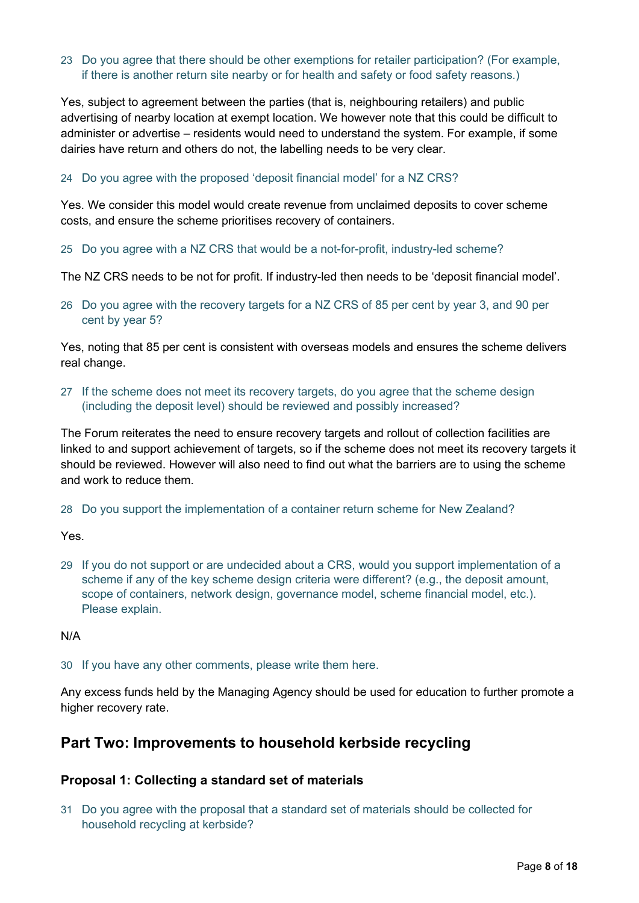### 23 Do you agree that there should be other exemptions for retailer participation? (For example, if there is another return site nearby or for health and safety or food safety reasons.)

Yes, subject to agreement between the parties (that is, neighbouring retailers) and public advertising of nearby location at exempt location. We however note that this could be difficult to administer or advertise – residents would need to understand the system. For example, if some dairies have return and others do not, the labelling needs to be very clear.

#### 24 Do you agree with the proposed 'deposit financial model' for a NZ CRS?

Yes. We consider this model would create revenue from unclaimed deposits to cover scheme costs, and ensure the scheme prioritises recovery of containers.

#### 25 Do you agree with a NZ CRS that would be a not-for-profit, industry-led scheme?

The NZ CRS needs to be not for profit. If industry-led then needs to be 'deposit financial model'.

26 Do you agree with the recovery targets for a NZ CRS of 85 per cent by year 3, and 90 per cent by year 5?

Yes, noting that 85 per cent is consistent with overseas models and ensures the scheme delivers real change.

27 If the scheme does not meet its recovery targets, do you agree that the scheme design (including the deposit level) should be reviewed and possibly increased?

The Forum reiterates the need to ensure recovery targets and rollout of collection facilities are linked to and support achievement of targets, so if the scheme does not meet its recovery targets it should be reviewed. However will also need to find out what the barriers are to using the scheme and work to reduce them.

28 Do you support the implementation of a container return scheme for New Zealand?

Yes.

29 If you do not support or are undecided about a CRS, would you support implementation of a scheme if any of the key scheme design criteria were different? (e.g., the deposit amount, scope of containers, network design, governance model, scheme financial model, etc.). Please explain.

N/A

30 If you have any other comments, please write them here.

Any excess funds held by the Managing Agency should be used for education to further promote a higher recovery rate.

# **Part Two: Improvements to household kerbside recycling**

#### **Proposal 1: Collecting a standard set of materials**

31 Do you agree with the proposal that a standard set of materials should be collected for household recycling at kerbside?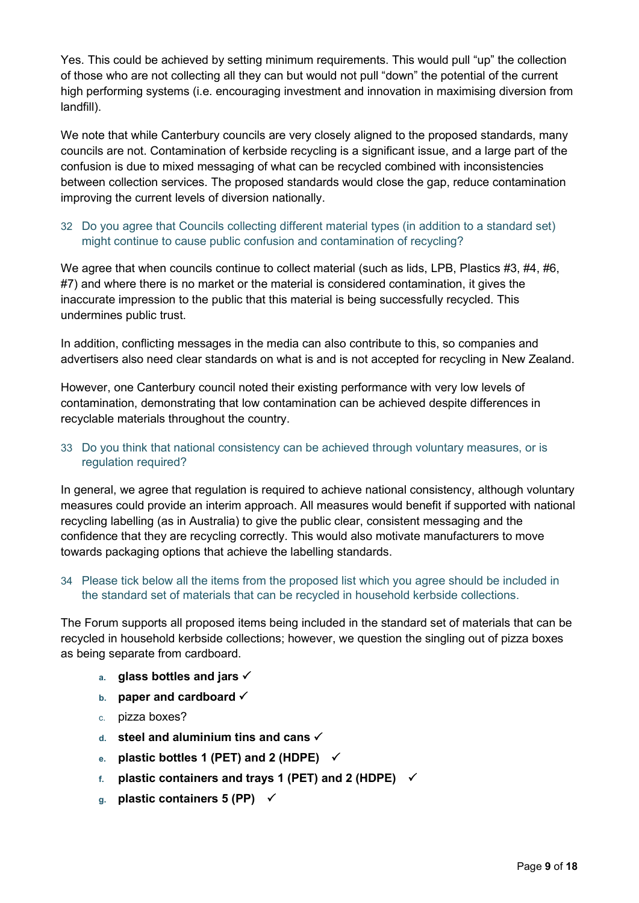Yes. This could be achieved by setting minimum requirements. This would pull "up" the collection of those who are not collecting all they can but would not pull "down" the potential of the current high performing systems (i.e. encouraging investment and innovation in maximising diversion from landfill).

We note that while Canterbury councils are very closely aligned to the proposed standards, many councils are not. Contamination of kerbside recycling is a significant issue, and a large part of the confusion is due to mixed messaging of what can be recycled combined with inconsistencies between collection services. The proposed standards would close the gap, reduce contamination improving the current levels of diversion nationally.

# 32 Do you agree that Councils collecting different material types (in addition to a standard set) might continue to cause public confusion and contamination of recycling?

We agree that when councils continue to collect material (such as lids, LPB, Plastics #3, #4, #6, #7) and where there is no market or the material is considered contamination, it gives the inaccurate impression to the public that this material is being successfully recycled. This undermines public trust.

In addition, conflicting messages in the media can also contribute to this, so companies and advertisers also need clear standards on what is and is not accepted for recycling in New Zealand.

However, one Canterbury council noted their existing performance with very low levels of contamination, demonstrating that low contamination can be achieved despite differences in recyclable materials throughout the country.

## 33 Do you think that national consistency can be achieved through voluntary measures, or is regulation required?

In general, we agree that regulation is required to achieve national consistency, although voluntary measures could provide an interim approach. All measures would benefit if supported with national recycling labelling (as in Australia) to give the public clear, consistent messaging and the confidence that they are recycling correctly. This would also motivate manufacturers to move towards packaging options that achieve the labelling standards.

#### 34 Please tick below all the items from the proposed list which you agree should be included in the standard set of materials that can be recycled in household kerbside collections.

The Forum supports all proposed items being included in the standard set of materials that can be recycled in household kerbside collections; however, we question the singling out of pizza boxes as being separate from cardboard.

- **a. glass bottles and jars**
- **b. paper and cardboard**
- c. pizza boxes?
- **d. steel and aluminium tins and cans**
- **e. plastic bottles 1 (PET) and 2 (HDPE)**
- **f. plastic containers and trays 1 (PET) and 2 (HDPE)**
- **g. plastic containers 5 (PP)**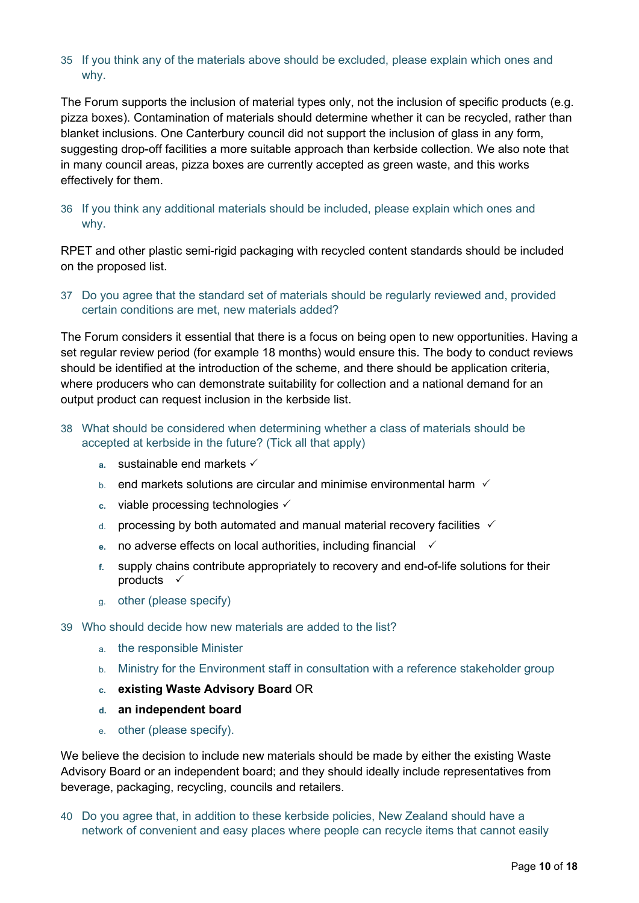### 35 If you think any of the materials above should be excluded, please explain which ones and why.

The Forum supports the inclusion of material types only, not the inclusion of specific products (e.g. pizza boxes). Contamination of materials should determine whether it can be recycled, rather than blanket inclusions. One Canterbury council did not support the inclusion of glass in any form, suggesting drop-off facilities a more suitable approach than kerbside collection. We also note that in many council areas, pizza boxes are currently accepted as green waste, and this works effectively for them.

### 36 If you think any additional materials should be included, please explain which ones and why.

RPET and other plastic semi-rigid packaging with recycled content standards should be included on the proposed list.

## 37 Do you agree that the standard set of materials should be regularly reviewed and, provided certain conditions are met, new materials added?

The Forum considers it essential that there is a focus on being open to new opportunities. Having a set regular review period (for example 18 months) would ensure this. The body to conduct reviews should be identified at the introduction of the scheme, and there should be application criteria, where producers who can demonstrate suitability for collection and a national demand for an output product can request inclusion in the kerbside list.

### 38 What should be considered when determining whether a class of materials should be accepted at kerbside in the future? (Tick all that apply)

- **a.** sustainable end markets
- $b<sub>b</sub>$  end markets solutions are circular and minimise environmental harm  $\checkmark$
- **c.** viable processing technologies
- $d$  processing by both automated and manual material recovery facilities  $\checkmark$
- **e.** no adverse effects on local authorities, including financial
- **f.** supply chains contribute appropriately to recovery and end-of-life solutions for their products  $\checkmark$
- g. other (please specify)
- 39 Who should decide how new materials are added to the list?
	- a. the responsible Minister
	- b. Ministry for the Environment staff in consultation with a reference stakeholder group
	- **c. existing Waste Advisory Board** OR
	- **d. an independent board**
	- e. other (please specify).

We believe the decision to include new materials should be made by either the existing Waste Advisory Board or an independent board; and they should ideally include representatives from beverage, packaging, recycling, councils and retailers.

40 Do you agree that, in addition to these kerbside policies, New Zealand should have a network of convenient and easy places where people can recycle items that cannot easily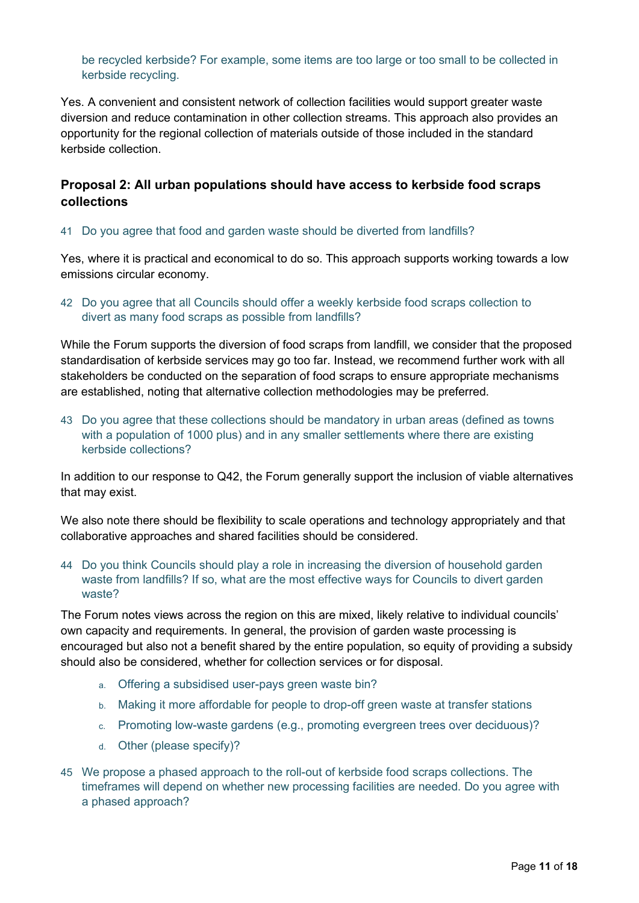be recycled kerbside? For example, some items are too large or too small to be collected in kerbside recycling.

Yes. A convenient and consistent network of collection facilities would support greater waste diversion and reduce contamination in other collection streams. This approach also provides an opportunity for the regional collection of materials outside of those included in the standard kerbside collection.

# **Proposal 2: All urban populations should have access to kerbside food scraps collections**

#### 41 Do you agree that food and garden waste should be diverted from landfills?

Yes, where it is practical and economical to do so. This approach supports working towards a low emissions circular economy.

42 Do you agree that all Councils should offer a weekly kerbside food scraps collection to divert as many food scraps as possible from landfills?

While the Forum supports the diversion of food scraps from landfill, we consider that the proposed standardisation of kerbside services may go too far. Instead, we recommend further work with all stakeholders be conducted on the separation of food scraps to ensure appropriate mechanisms are established, noting that alternative collection methodologies may be preferred.

43 Do you agree that these collections should be mandatory in urban areas (defined as towns with a population of 1000 plus) and in any smaller settlements where there are existing kerbside collections?

In addition to our response to Q42, the Forum generally support the inclusion of viable alternatives that may exist.

We also note there should be flexibility to scale operations and technology appropriately and that collaborative approaches and shared facilities should be considered.

44 Do you think Councils should play a role in increasing the diversion of household garden waste from landfills? If so, what are the most effective ways for Councils to divert garden waste?

The Forum notes views across the region on this are mixed, likely relative to individual councils' own capacity and requirements. In general, the provision of garden waste processing is encouraged but also not a benefit shared by the entire population, so equity of providing a subsidy should also be considered, whether for collection services or for disposal.

- a. Offering a subsidised user-pays green waste bin?
- b. Making it more affordable for people to drop-off green waste at transfer stations
- c. Promoting low-waste gardens (e.g., promoting evergreen trees over deciduous)?
- d. Other (please specify)?
- 45 We propose a phased approach to the roll-out of kerbside food scraps collections. The timeframes will depend on whether new processing facilities are needed. Do you agree with a phased approach?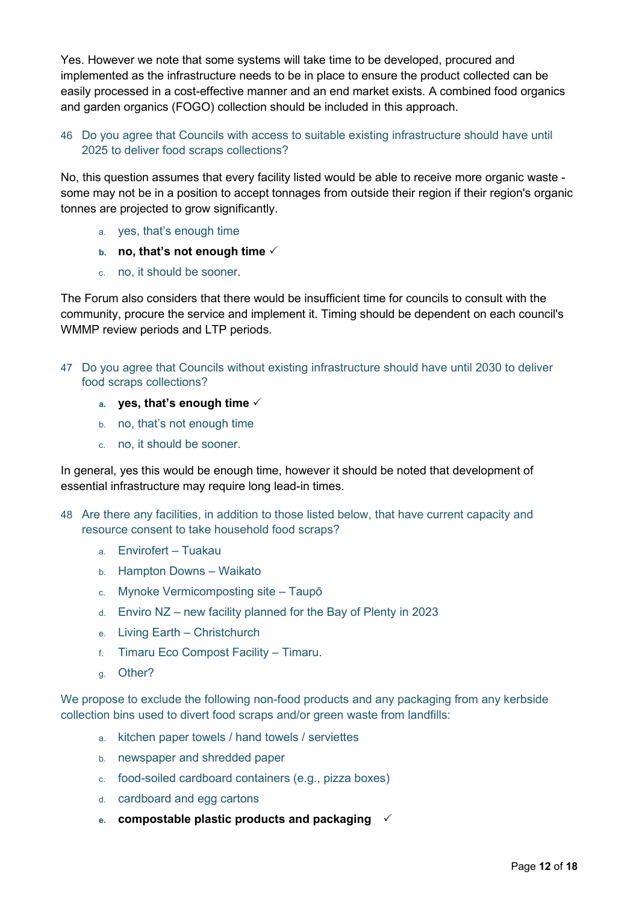Yes. However we note that some systems will take time to be developed, procured and implemented as the infrastructure needs to be in place to ensure the product collected can be easily processed in a cost-effective manner and an end market exists. A combined food organics and garden organics (FOGO) collection should be included in this approach.

# 46 Do you agree that Councils with access to suitable existing infrastructure should have until 2025 to deliver food scraps collections?

No, this question assumes that every facility listed would be able to receive more organic waste some may not be in a position to accept tonnages from outside their region if their region's organic tonnes are projected to grow significantly.

- a. yes, that's enough time
- **b. no, that's not enough time**
- c. no, it should be sooner.

The Forum also considers that there would be insufficient time for councils to consult with the community, procure the service and implement it. Timing should be dependent on each council's WMMP review periods and LTP periods.

- 47 Do you agree that Councils without existing infrastructure should have until 2030 to deliver food scraps collections?
	- **a. yes, that's enough time**
	- b. no, that's not enough time
	- c. no, it should be sooner.

In general, yes this would be enough time, however it should be noted that development of essential infrastructure may require long lead-in times.

- 48 Are there any facilities, in addition to those listed below, that have current capacity and resource consent to take household food scraps?
	- a. Envirofert Tuakau
	- b. Hampton Downs Waikato
	- c. Mynoke Vermicomposting site Taupō
	- d. Enviro NZ new facility planned for the Bay of Plenty in 2023
	- e. Living Earth Christchurch
	- f. Timaru Eco Compost Facility Timaru.
	- g. Other?

We propose to exclude the following non-food products and any packaging from any kerbside collection bins used to divert food scraps and/or green waste from landfills:

- a. kitchen paper towels / hand towels / serviettes
- b. newspaper and shredded paper
- c. food-soiled cardboard containers (e.g., pizza boxes)
- d. cardboard and egg cartons
- **e. compostable plastic products and packaging**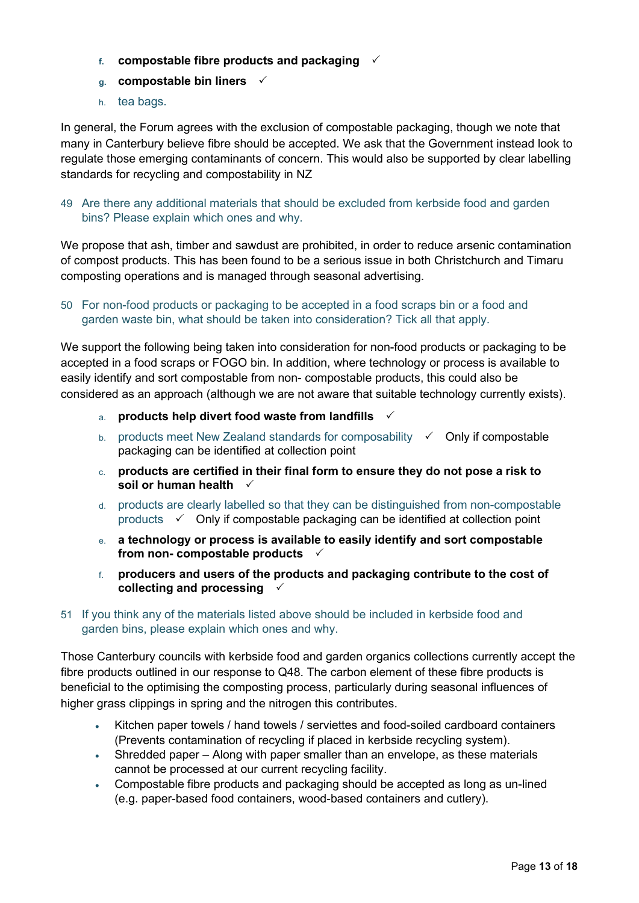- **f. compostable fibre products and packaging**
- **g. compostable bin liners**
- h. tea bags.

In general, the Forum agrees with the exclusion of compostable packaging, though we note that many in Canterbury believe fibre should be accepted. We ask that the Government instead look to regulate those emerging contaminants of concern. This would also be supported by clear labelling standards for recycling and compostability in NZ

49 Are there any additional materials that should be excluded from kerbside food and garden bins? Please explain which ones and why.

We propose that ash, timber and sawdust are prohibited, in order to reduce arsenic contamination of compost products. This has been found to be a serious issue in both Christchurch and Timaru composting operations and is managed through seasonal advertising.

50 For non-food products or packaging to be accepted in a food scraps bin or a food and garden waste bin, what should be taken into consideration? Tick all that apply.

We support the following being taken into consideration for non-food products or packaging to be accepted in a food scraps or FOGO bin. In addition, where technology or process is available to easily identify and sort compostable from non- compostable products, this could also be considered as an approach (although we are not aware that suitable technology currently exists).

- a. **products help divert food waste from landfills**
- b. products meet New Zealand standards for composability  $\checkmark$  Only if compostable packaging can be identified at collection point
- c. **products are certified in their final form to ensure they do not pose a risk to soil or human health**
- d. products are clearly labelled so that they can be distinguished from non-compostable products  $\checkmark$  Only if compostable packaging can be identified at collection point
- e. **a technology or process is available to easily identify and sort compostable from non- compostable products**
- f. **producers and users of the products and packaging contribute to the cost of collecting and processing**
- 51 If you think any of the materials listed above should be included in kerbside food and garden bins, please explain which ones and why.

Those Canterbury councils with kerbside food and garden organics collections currently accept the fibre products outlined in our response to Q48. The carbon element of these fibre products is beneficial to the optimising the composting process, particularly during seasonal influences of higher grass clippings in spring and the nitrogen this contributes.

- Kitchen paper towels / hand towels / serviettes and food-soiled cardboard containers (Prevents contamination of recycling if placed in kerbside recycling system).
- Shredded paper Along with paper smaller than an envelope, as these materials cannot be processed at our current recycling facility.
- Compostable fibre products and packaging should be accepted as long as un-lined (e.g. paper-based food containers, wood-based containers and cutlery).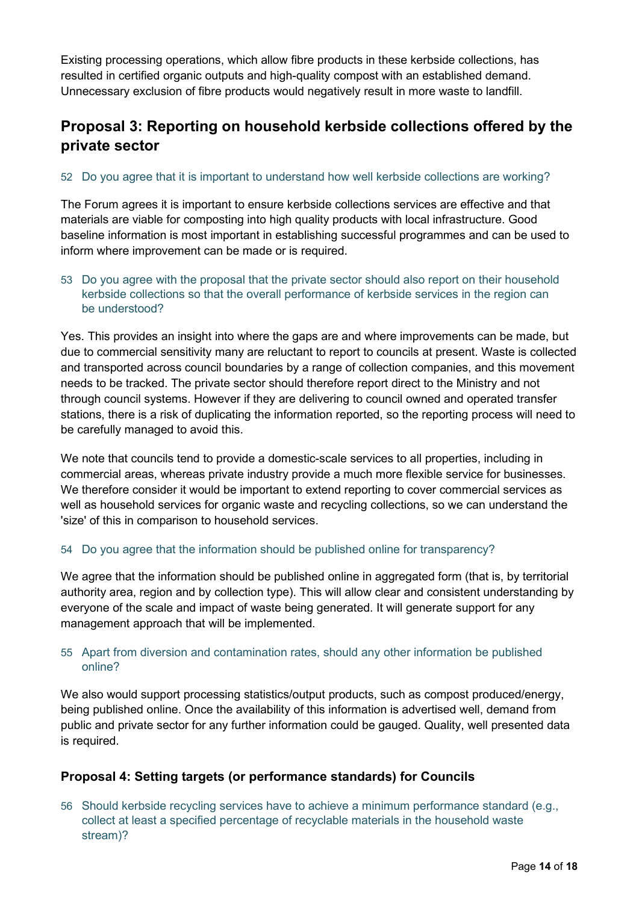Existing processing operations, which allow fibre products in these kerbside collections, has resulted in certified organic outputs and high-quality compost with an established demand. Unnecessary exclusion of fibre products would negatively result in more waste to landfill.

# **Proposal 3: Reporting on household kerbside collections offered by the private sector**

# 52 Do you agree that it is important to understand how well kerbside collections are working?

The Forum agrees it is important to ensure kerbside collections services are effective and that materials are viable for composting into high quality products with local infrastructure. Good baseline information is most important in establishing successful programmes and can be used to inform where improvement can be made or is required.

## 53 Do you agree with the proposal that the private sector should also report on their household kerbside collections so that the overall performance of kerbside services in the region can be understood?

Yes. This provides an insight into where the gaps are and where improvements can be made, but due to commercial sensitivity many are reluctant to report to councils at present. Waste is collected and transported across council boundaries by a range of collection companies, and this movement needs to be tracked. The private sector should therefore report direct to the Ministry and not through council systems. However if they are delivering to council owned and operated transfer stations, there is a risk of duplicating the information reported, so the reporting process will need to be carefully managed to avoid this.

We note that councils tend to provide a domestic-scale services to all properties, including in commercial areas, whereas private industry provide a much more flexible service for businesses. We therefore consider it would be important to extend reporting to cover commercial services as well as household services for organic waste and recycling collections, so we can understand the 'size' of this in comparison to household services.

# 54 Do you agree that the information should be published online for transparency?

We agree that the information should be published online in aggregated form (that is, by territorial authority area, region and by collection type). This will allow clear and consistent understanding by everyone of the scale and impact of waste being generated. It will generate support for any management approach that will be implemented.

## 55 Apart from diversion and contamination rates, should any other information be published online?

We also would support processing statistics/output products, such as compost produced/energy, being published online. Once the availability of this information is advertised well, demand from public and private sector for any further information could be gauged. Quality, well presented data is required.

# **Proposal 4: Setting targets (or performance standards) for Councils**

56 Should kerbside recycling services have to achieve a minimum performance standard (e.g., collect at least a specified percentage of recyclable materials in the household waste stream)?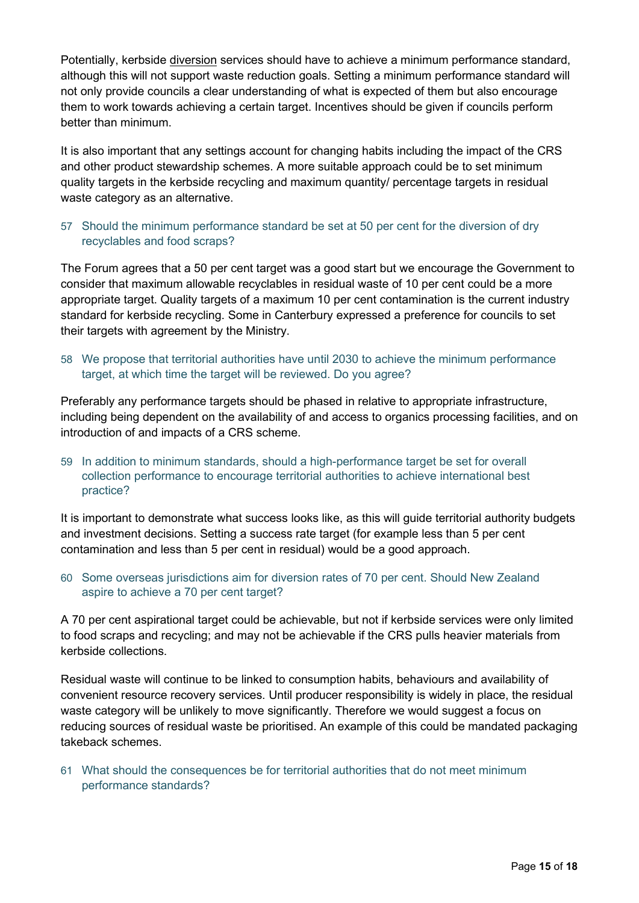Potentially, kerbside diversion services should have to achieve a minimum performance standard, although this will not support waste reduction goals. Setting a minimum performance standard will not only provide councils a clear understanding of what is expected of them but also encourage them to work towards achieving a certain target. Incentives should be given if councils perform better than minimum.

It is also important that any settings account for changing habits including the impact of the CRS and other product stewardship schemes. A more suitable approach could be to set minimum quality targets in the kerbside recycling and maximum quantity/ percentage targets in residual waste category as an alternative.

57 Should the minimum performance standard be set at 50 per cent for the diversion of dry recyclables and food scraps?

The Forum agrees that a 50 per cent target was a good start but we encourage the Government to consider that maximum allowable recyclables in residual waste of 10 per cent could be a more appropriate target. Quality targets of a maximum 10 per cent contamination is the current industry standard for kerbside recycling. Some in Canterbury expressed a preference for councils to set their targets with agreement by the Ministry.

58 We propose that territorial authorities have until 2030 to achieve the minimum performance target, at which time the target will be reviewed. Do you agree?

Preferably any performance targets should be phased in relative to appropriate infrastructure, including being dependent on the availability of and access to organics processing facilities, and on introduction of and impacts of a CRS scheme.

59 In addition to minimum standards, should a high-performance target be set for overall collection performance to encourage territorial authorities to achieve international best practice?

It is important to demonstrate what success looks like, as this will guide territorial authority budgets and investment decisions. Setting a success rate target (for example less than 5 per cent contamination and less than 5 per cent in residual) would be a good approach.

60 Some overseas jurisdictions aim for diversion rates of 70 per cent. Should New Zealand aspire to achieve a 70 per cent target?

A 70 per cent aspirational target could be achievable, but not if kerbside services were only limited to food scraps and recycling; and may not be achievable if the CRS pulls heavier materials from kerbside collections.

Residual waste will continue to be linked to consumption habits, behaviours and availability of convenient resource recovery services. Until producer responsibility is widely in place, the residual waste category will be unlikely to move significantly. Therefore we would suggest a focus on reducing sources of residual waste be prioritised. An example of this could be mandated packaging takeback schemes.

61 What should the consequences be for territorial authorities that do not meet minimum performance standards?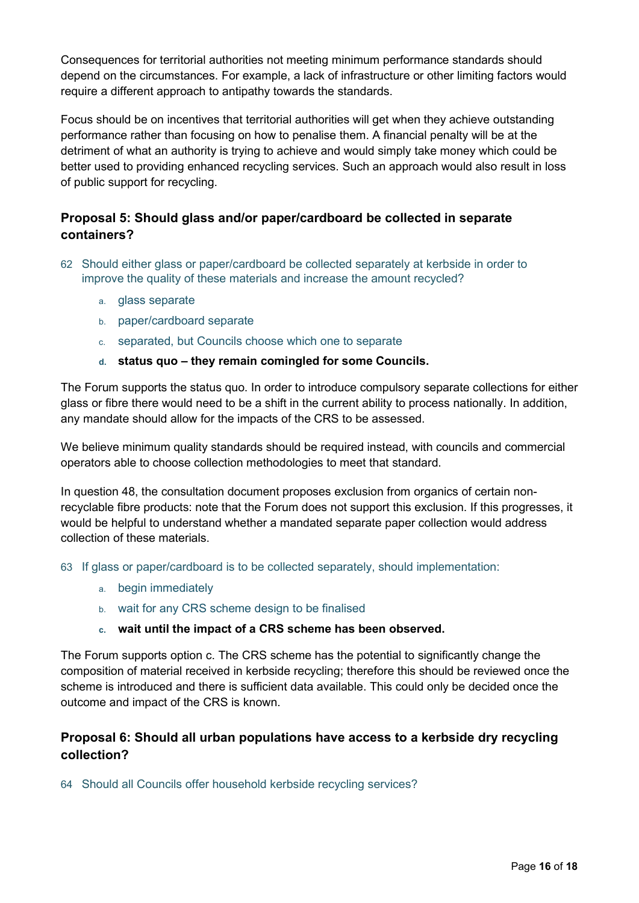Consequences for territorial authorities not meeting minimum performance standards should depend on the circumstances. For example, a lack of infrastructure or other limiting factors would require a different approach to antipathy towards the standards.

Focus should be on incentives that territorial authorities will get when they achieve outstanding performance rather than focusing on how to penalise them. A financial penalty will be at the detriment of what an authority is trying to achieve and would simply take money which could be better used to providing enhanced recycling services. Such an approach would also result in loss of public support for recycling.

# **Proposal 5: Should glass and/or paper/cardboard be collected in separate containers?**

- 62 Should either glass or paper/cardboard be collected separately at kerbside in order to improve the quality of these materials and increase the amount recycled?
	- a. glass separate
	- b. paper/cardboard separate
	- c. separated, but Councils choose which one to separate
	- **d. status quo – they remain comingled for some Councils.**

The Forum supports the status quo. In order to introduce compulsory separate collections for either glass or fibre there would need to be a shift in the current ability to process nationally. In addition, any mandate should allow for the impacts of the CRS to be assessed.

We believe minimum quality standards should be required instead, with councils and commercial operators able to choose collection methodologies to meet that standard.

In question 48, the consultation document proposes exclusion from organics of certain nonrecyclable fibre products: note that the Forum does not support this exclusion. If this progresses, it would be helpful to understand whether a mandated separate paper collection would address collection of these materials.

63 If glass or paper/cardboard is to be collected separately, should implementation:

- a. begin immediately
- b. wait for any CRS scheme design to be finalised
- **c. wait until the impact of a CRS scheme has been observed.**

The Forum supports option c. The CRS scheme has the potential to significantly change the composition of material received in kerbside recycling; therefore this should be reviewed once the scheme is introduced and there is sufficient data available. This could only be decided once the outcome and impact of the CRS is known.

# **Proposal 6: Should all urban populations have access to a kerbside dry recycling collection?**

64 Should all Councils offer household kerbside recycling services?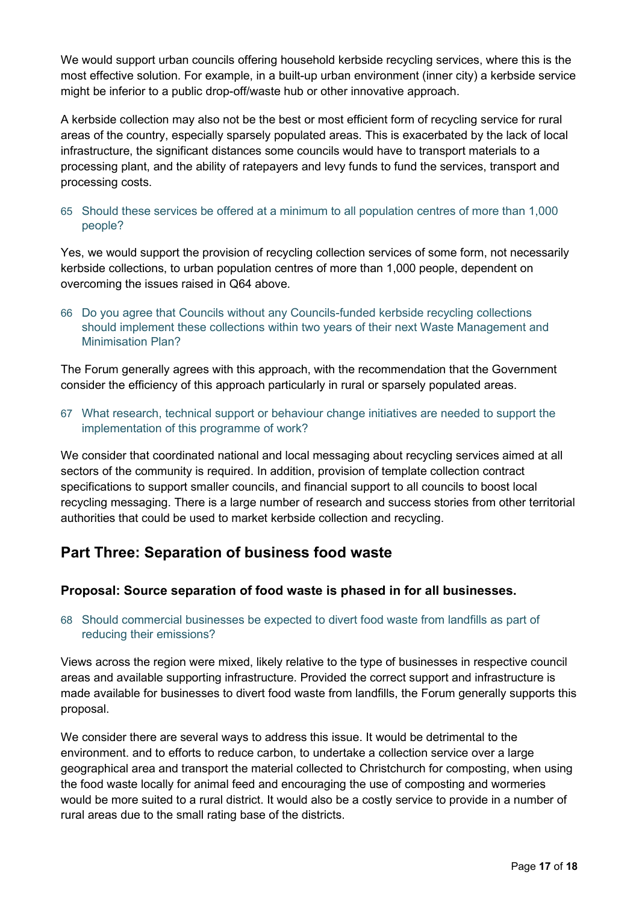We would support urban councils offering household kerbside recycling services, where this is the most effective solution. For example, in a built-up urban environment (inner city) a kerbside service might be inferior to a public drop-off/waste hub or other innovative approach.

A kerbside collection may also not be the best or most efficient form of recycling service for rural areas of the country, especially sparsely populated areas. This is exacerbated by the lack of local infrastructure, the significant distances some councils would have to transport materials to a processing plant, and the ability of ratepayers and levy funds to fund the services, transport and processing costs.

# 65 Should these services be offered at a minimum to all population centres of more than 1,000 people?

Yes, we would support the provision of recycling collection services of some form, not necessarily kerbside collections, to urban population centres of more than 1,000 people, dependent on overcoming the issues raised in Q64 above.

66 Do you agree that Councils without any Councils-funded kerbside recycling collections should implement these collections within two years of their next Waste Management and Minimisation Plan?

The Forum generally agrees with this approach, with the recommendation that the Government consider the efficiency of this approach particularly in rural or sparsely populated areas.

67 What research, technical support or behaviour change initiatives are needed to support the implementation of this programme of work?

We consider that coordinated national and local messaging about recycling services aimed at all sectors of the community is required. In addition, provision of template collection contract specifications to support smaller councils, and financial support to all councils to boost local recycling messaging. There is a large number of research and success stories from other territorial authorities that could be used to market kerbside collection and recycling.

# **Part Three: Separation of business food waste**

# **Proposal: Source separation of food waste is phased in for all businesses.**

## 68 Should commercial businesses be expected to divert food waste from landfills as part of reducing their emissions?

Views across the region were mixed, likely relative to the type of businesses in respective council areas and available supporting infrastructure. Provided the correct support and infrastructure is made available for businesses to divert food waste from landfills, the Forum generally supports this proposal.

We consider there are several ways to address this issue. It would be detrimental to the environment. and to efforts to reduce carbon, to undertake a collection service over a large geographical area and transport the material collected to Christchurch for composting, when using the food waste locally for animal feed and encouraging the use of composting and wormeries would be more suited to a rural district. It would also be a costly service to provide in a number of rural areas due to the small rating base of the districts.